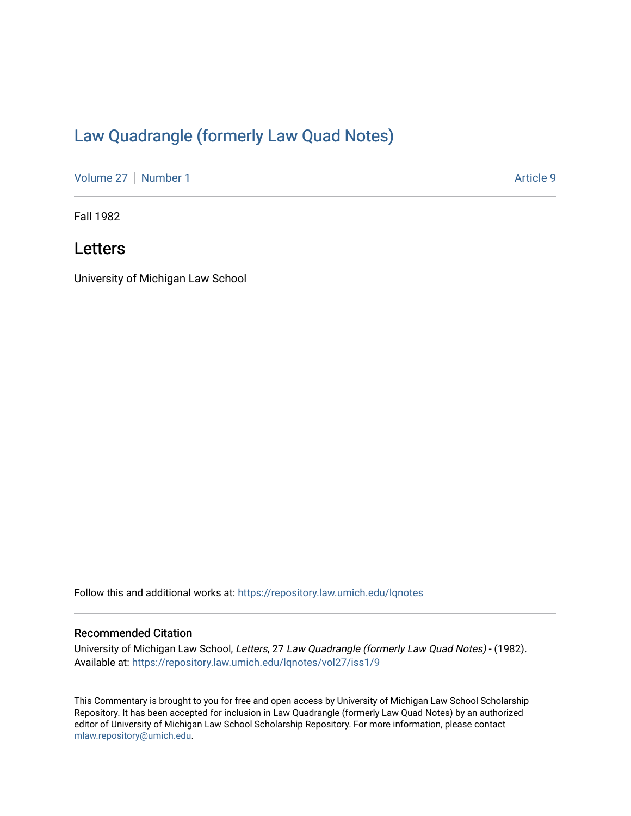# [Law Quadrangle \(formerly Law Quad Notes\)](https://repository.law.umich.edu/lqnotes)

[Volume 27](https://repository.law.umich.edu/lqnotes/vol27) | [Number 1](https://repository.law.umich.edu/lqnotes/vol27/iss1) Article 9

Fall 1982

## Letters

University of Michigan Law School

Follow this and additional works at: [https://repository.law.umich.edu/lqnotes](https://repository.law.umich.edu/lqnotes?utm_source=repository.law.umich.edu%2Flqnotes%2Fvol27%2Fiss1%2F9&utm_medium=PDF&utm_campaign=PDFCoverPages) 

#### Recommended Citation

University of Michigan Law School, Letters, 27 Law Quadrangle (formerly Law Quad Notes) - (1982). Available at: [https://repository.law.umich.edu/lqnotes/vol27/iss1/9](https://repository.law.umich.edu/lqnotes/vol27/iss1/9?utm_source=repository.law.umich.edu%2Flqnotes%2Fvol27%2Fiss1%2F9&utm_medium=PDF&utm_campaign=PDFCoverPages) 

This Commentary is brought to you for free and open access by University of Michigan Law School Scholarship Repository. It has been accepted for inclusion in Law Quadrangle (formerly Law Quad Notes) by an authorized editor of University of Michigan Law School Scholarship Repository. For more information, please contact [mlaw.repository@umich.edu.](mailto:mlaw.repository@umich.edu)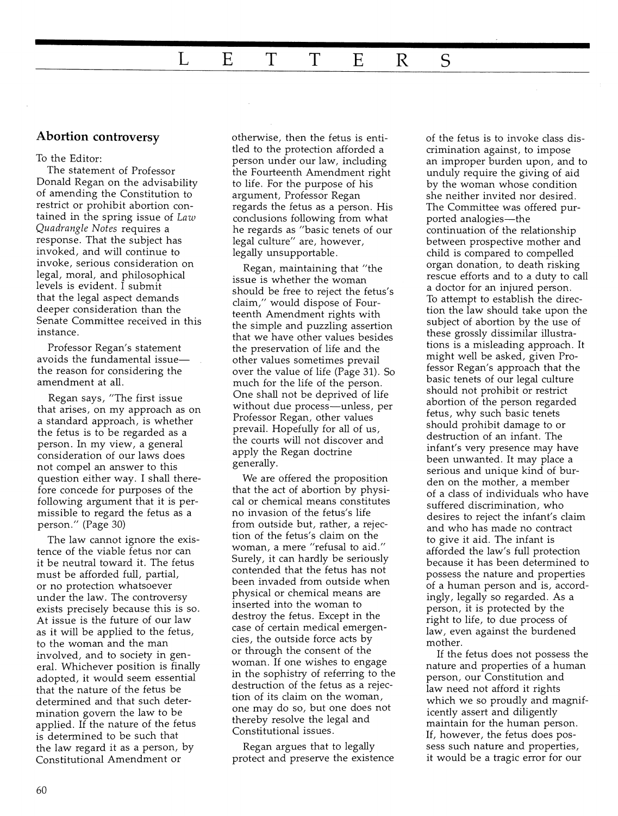### **Abortion controversy**

#### To the Editor:

The statement of Professor Donald Regan on the advisability of amending the Constitution to restrict or prohibit abortion contained in the spring issue of Law *Quadrangle Notes* requires a response. That the subject has invoked, and will continue to invoke, serious consideration on legal, moral, and philosophical levels is evident. I submit that the legal aspect demands deeper consideration than the Senate Committee received in this instance.

Professor Regan's statement avoids the fundamental issuethe reason for considering the amendment at all.

Regan says, "The first issue that arises, on my approach as on a standard approach, is whether the fetus is to be regarded as a person. In my view, a general consideration of our laws does not compel an answer to this question either way. I shall therefore concede for purposes of the following argument that it is permissible to regard the fetus as a person." (Page 30)

The law cannot ignore the existence of the viable fetus nor can it be neutral toward it. The fetus must be afforded full, partial, or no protection whatsoever under the law. The controversy exists precisely because this is so. At issue is the future of our law as it will be applied to the fetus, to the woman and the man involved, and to society in gen eral. Whichever position is finally adopted, it would seem essential that the nature of the fetus be determined and that such determination govern the law to be applied. If the nature of the fetus is determined to be such that the law regard it as a person, by Constitutional Amendment or

otherwise, then the fetus is entitled to the protection afforded a person under our law, including the Fourteenth Amendment right to life. For the purpose of his argument, Professor Regan regards the fetus as a person. His conclusions following from what he regards as "basic tenets of our legal culture" are, however, legally unsupportable.

Regan, maintaining that "the issue is whether the woman should be free to reject the fetus's claim," would dispose of Fourteenth Amendment rights with the simple and puzzling assertion that we have other values besides the preservation of life and the other values sometimes prevail over the value of life (Page 31). So much for the life of the person. One shall not be deprived of life without due process-unless, per Professor Regan, other values prevail. Hopefully for all of us, the courts will not discover and apply the Regan doctrine generally.

We are offered the proposition that the act of abortion by physical or chemical means constitutes no invasion of the fetus's life from outside but, rather, a rejection of the fetus's claim on the woman, a mere "refusal to aid." Surely, it can hardly be seriously contended that the fetus has not been invaded from outside when physical or chemical means are inserted into the woman to destroy the fetus. Except in the case of certain medical emergencies, the outside force acts by or through the consent of the woman. If one wishes to engage in the sophistry of referring to the destruction of the fetus as a rejection of its claim on the woman, one may do so, but one does not thereby resolve the legal and Constitutional issues.

Regan argues that to legally protect and preserve the existence of the fetus is to invoke class discrimination against, to impose an improper burden upon, and to unduly require the giving of aid by the woman whose condition she neither invited nor desired. The Committee was offered purported analogies-the continuation of the relationship between prospective mother and child is compared to compelled organ donation, to death risking rescue efforts and to a duty to call a doctor for an injured person. To attempt to establish the direction the law should take upon the subject of abortion by the use of these grossly dissimilar illustrations is a misleading approach. It might well be asked, given Professor Regan's approach that the basic tenets of our legal culture should not prohibit or restrict abortion of the person regarded fetus, why such basic tenets should prohibit damage to or destruction of an infant. The infant's very presence may have been unwanted. It may place a serious and unique kind of burden on the mother, a member of a class of individuals who have suffered discrimination, who desires to reject the infant's claim and who has made no contract to give it aid. The infant is afforded the law's full protection because it has been determined to possess the nature and properties of a human person and is, accordingly, legally so regarded. As a person, it is protected by the right to life, to due process of law, even against the burdened mother.

If the fetus does not possess the nature and properties of a human person, our Constitution and law need not afford it rights which we so proudly and magnificently assert and diligently maintain for the human person. If, however, the fetus does possess such nature and properties, it would be a tragic error for our